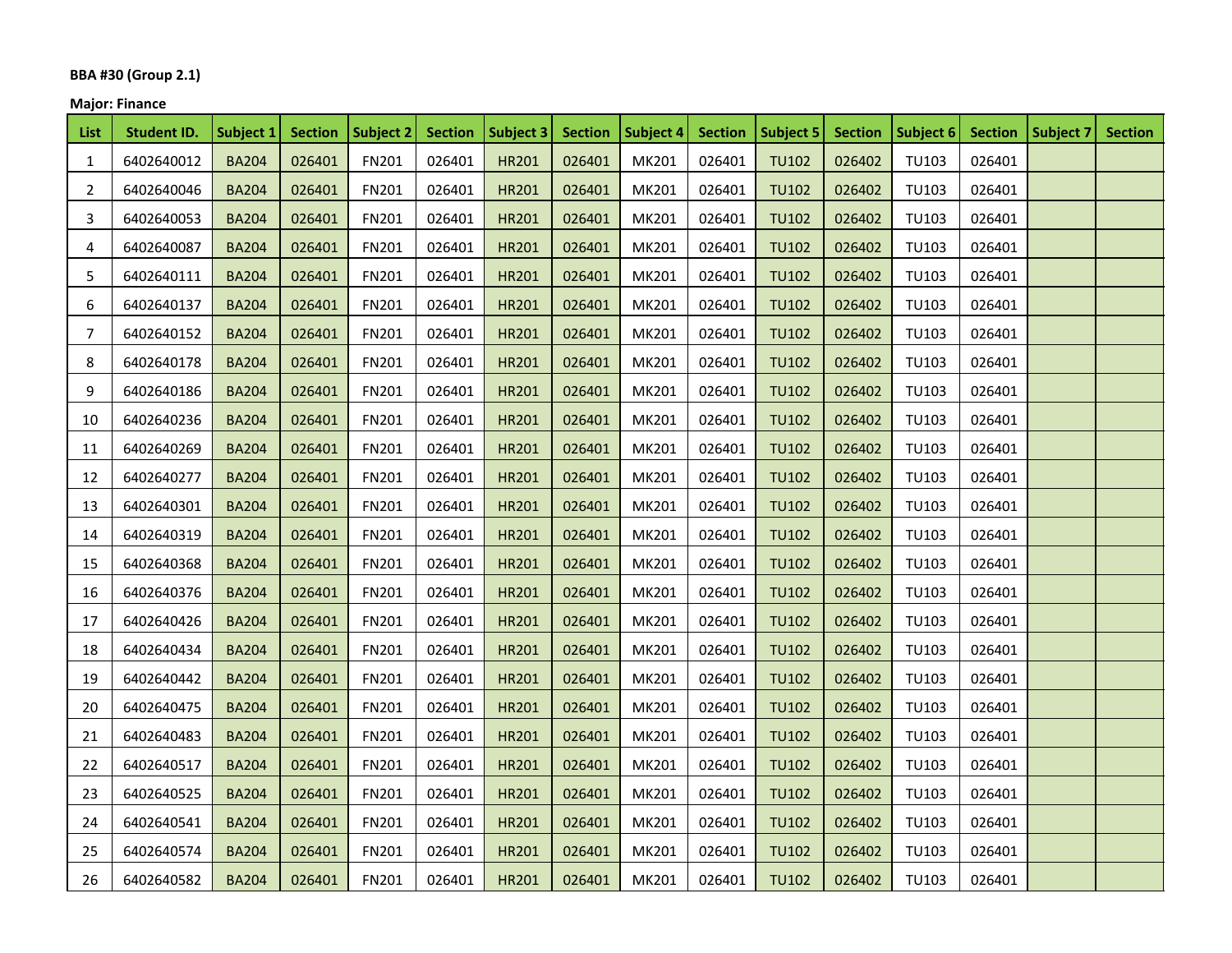## **BBA #30 (Group 2.1)**

## **Major: Finance**

| List           | <b>Student ID.</b> | Subject 1    | <b>Section</b> | Subject 2    | <b>Section</b> | Subject 3    | <b>Section</b> | Subject 4 | <b>Section</b> | Subject 5    | <b>Section</b> | Subject 6 Section |        | Subject 7 | <b>Section</b> |
|----------------|--------------------|--------------|----------------|--------------|----------------|--------------|----------------|-----------|----------------|--------------|----------------|-------------------|--------|-----------|----------------|
| 1              | 6402640012         | <b>BA204</b> | 026401         | FN201        | 026401         | <b>HR201</b> | 026401         | MK201     | 026401         | <b>TU102</b> | 026402         | TU103             | 026401 |           |                |
| $\overline{2}$ | 6402640046         | <b>BA204</b> | 026401         | FN201        | 026401         | <b>HR201</b> | 026401         | MK201     | 026401         | <b>TU102</b> | 026402         | TU103             | 026401 |           |                |
| 3              | 6402640053         | <b>BA204</b> | 026401         | FN201        | 026401         | <b>HR201</b> | 026401         | MK201     | 026401         | <b>TU102</b> | 026402         | TU103             | 026401 |           |                |
| 4              | 6402640087         | <b>BA204</b> | 026401         | <b>FN201</b> | 026401         | HR201        | 026401         | MK201     | 026401         | <b>TU102</b> | 026402         | TU103             | 026401 |           |                |
| 5              | 6402640111         | <b>BA204</b> | 026401         | FN201        | 026401         | HR201        | 026401         | MK201     | 026401         | <b>TU102</b> | 026402         | <b>TU103</b>      | 026401 |           |                |
| 6              | 6402640137         | <b>BA204</b> | 026401         | FN201        | 026401         | HR201        | 026401         | MK201     | 026401         | <b>TU102</b> | 026402         | <b>TU103</b>      | 026401 |           |                |
| 7              | 6402640152         | <b>BA204</b> | 026401         | FN201        | 026401         | <b>HR201</b> | 026401         | MK201     | 026401         | <b>TU102</b> | 026402         | TU103             | 026401 |           |                |
| 8              | 6402640178         | <b>BA204</b> | 026401         | FN201        | 026401         | <b>HR201</b> | 026401         | MK201     | 026401         | <b>TU102</b> | 026402         | TU103             | 026401 |           |                |
| 9              | 6402640186         | <b>BA204</b> | 026401         | FN201        | 026401         | <b>HR201</b> | 026401         | MK201     | 026401         | <b>TU102</b> | 026402         | TU103             | 026401 |           |                |
| 10             | 6402640236         | <b>BA204</b> | 026401         | FN201        | 026401         | <b>HR201</b> | 026401         | MK201     | 026401         | <b>TU102</b> | 026402         | <b>TU103</b>      | 026401 |           |                |
| 11             | 6402640269         | <b>BA204</b> | 026401         | FN201        | 026401         | <b>HR201</b> | 026401         | MK201     | 026401         | <b>TU102</b> | 026402         | TU103             | 026401 |           |                |
| 12             | 6402640277         | <b>BA204</b> | 026401         | <b>FN201</b> | 026401         | HR201        | 026401         | MK201     | 026401         | <b>TU102</b> | 026402         | TU103             | 026401 |           |                |
| 13             | 6402640301         | <b>BA204</b> | 026401         | FN201        | 026401         | HR201        | 026401         | MK201     | 026401         | <b>TU102</b> | 026402         | TU103             | 026401 |           |                |
| 14             | 6402640319         | <b>BA204</b> | 026401         | FN201        | 026401         | HR201        | 026401         | MK201     | 026401         | <b>TU102</b> | 026402         | TU103             | 026401 |           |                |
| 15             | 6402640368         | <b>BA204</b> | 026401         | FN201        | 026401         | <b>HR201</b> | 026401         | MK201     | 026401         | <b>TU102</b> | 026402         | <b>TU103</b>      | 026401 |           |                |
| 16             | 6402640376         | <b>BA204</b> | 026401         | FN201        | 026401         | <b>HR201</b> | 026401         | MK201     | 026401         | <b>TU102</b> | 026402         | TU103             | 026401 |           |                |
| 17             | 6402640426         | <b>BA204</b> | 026401         | FN201        | 026401         | <b>HR201</b> | 026401         | MK201     | 026401         | <b>TU102</b> | 026402         | TU103             | 026401 |           |                |
| 18             | 6402640434         | <b>BA204</b> | 026401         | FN201        | 026401         | <b>HR201</b> | 026401         | MK201     | 026401         | <b>TU102</b> | 026402         | TU103             | 026401 |           |                |
| 19             | 6402640442         | <b>BA204</b> | 026401         | FN201        | 026401         | <b>HR201</b> | 026401         | MK201     | 026401         | <b>TU102</b> | 026402         | <b>TU103</b>      | 026401 |           |                |
| 20             | 6402640475         | <b>BA204</b> | 026401         | FN201        | 026401         | <b>HR201</b> | 026401         | MK201     | 026401         | <b>TU102</b> | 026402         | TU103             | 026401 |           |                |
| 21             | 6402640483         | <b>BA204</b> | 026401         | FN201        | 026401         | <b>HR201</b> | 026401         | MK201     | 026401         | <b>TU102</b> | 026402         | TU103             | 026401 |           |                |
| 22             | 6402640517         | <b>BA204</b> | 026401         | FN201        | 026401         | HR201        | 026401         | MK201     | 026401         | <b>TU102</b> | 026402         | TU103             | 026401 |           |                |
| 23             | 6402640525         | <b>BA204</b> | 026401         | FN201        | 026401         | HR201        | 026401         | MK201     | 026401         | <b>TU102</b> | 026402         | <b>TU103</b>      | 026401 |           |                |
| 24             | 6402640541         | <b>BA204</b> | 026401         | FN201        | 026401         | <b>HR201</b> | 026401         | MK201     | 026401         | <b>TU102</b> | 026402         | TU103             | 026401 |           |                |
| 25             | 6402640574         | <b>BA204</b> | 026401         | FN201        | 026401         | <b>HR201</b> | 026401         | MK201     | 026401         | <b>TU102</b> | 026402         | TU103             | 026401 |           |                |
| 26             | 6402640582         | <b>BA204</b> | 026401         | FN201        | 026401         | <b>HR201</b> | 026401         | MK201     | 026401         | <b>TU102</b> | 026402         | TU103             | 026401 |           |                |